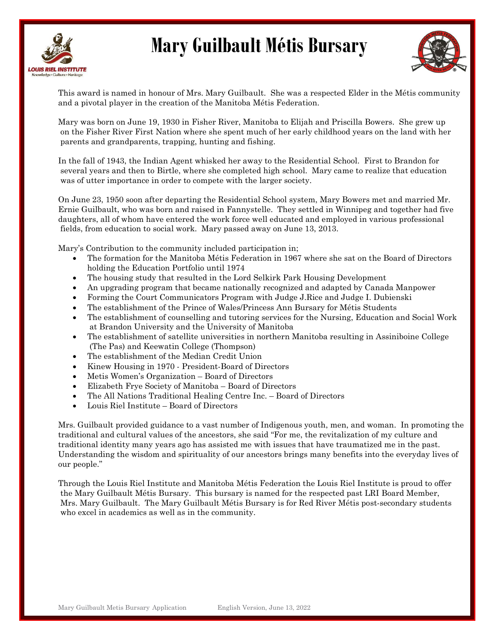



This award is named in honour of Mrs. Mary Guilbault. She was a respected Elder in the Métis community and a pivotal player in the creation of the Manitoba Métis Federation.

Mary was born on June 19, 1930 in Fisher River, Manitoba to Elijah and Priscilla Bowers. She grew up on the Fisher River First Nation where she spent much of her early childhood years on the land with her parents and grandparents, trapping, hunting and fishing.

In the fall of 1943, the Indian Agent whisked her away to the Residential School. First to Brandon for several years and then to Birtle, where she completed high school. Mary came to realize that education was of utter importance in order to compete with the larger society.

On June 23, 1950 soon after departing the Residential School system, Mary Bowers met and married Mr. Ernie Guilbault, who was born and raised in Fannystelle. They settled in Winnipeg and together had five daughters, all of whom have entered the work force well educated and employed in various professional fields, from education to social work. Mary passed away on June 13, 2013.

Mary's Contribution to the community included participation in;

- The formation for the Manitoba Métis Federation in 1967 where she sat on the Board of Directors holding the Education Portfolio until 1974
- The housing study that resulted in the Lord Selkirk Park Housing Development
- An upgrading program that became nationally recognized and adapted by Canada Manpower
- Forming the Court Communicators Program with Judge J.Rice and Judge I. Dubienski
- The establishment of the Prince of Wales/Princess Ann Bursary for Métis Students
- The establishment of counselling and tutoring services for the Nursing, Education and Social Work at Brandon University and the University of Manitoba
- The establishment of satellite universities in northern Manitoba resulting in Assiniboine College (The Pas) and Keewatin College (Thompson)
- The establishment of the Median Credit Union
- Kinew Housing in 1970 President-Board of Directors
- Metis Women's Organization Board of Directors
- Elizabeth Frye Society of Manitoba Board of Directors
- The All Nations Traditional Healing Centre Inc. Board of Directors
- Louis Riel Institute Board of Directors

Mrs. Guilbault provided guidance to a vast number of Indigenous youth, men, and woman. In promoting the traditional and cultural values of the ancestors, she said "For me, the revitalization of my culture and traditional identity many years ago has assisted me with issues that have traumatized me in the past. Understanding the wisdom and spirituality of our ancestors brings many benefits into the everyday lives of our people."

Through the Louis Riel Institute and Manitoba Métis Federation the Louis Riel Institute is proud to offer the Mary Guilbault Métis Bursary. This bursary is named for the respected past LRI Board Member, Mrs. Mary Guilbault. The Mary Guilbault Métis Bursary is for Red River Métis post-secondary students who excel in academics as well as in the community.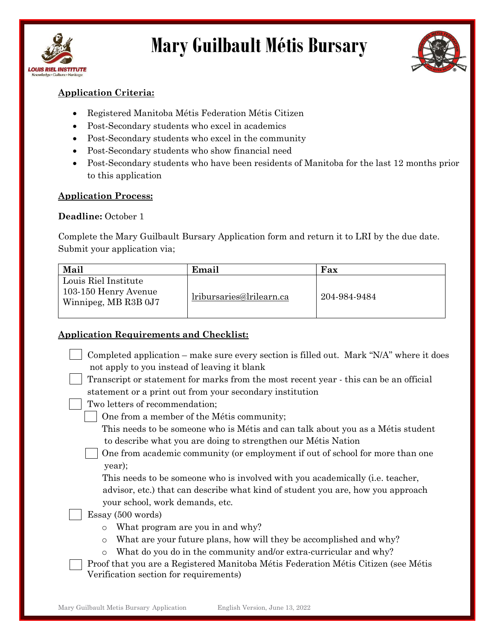



#### Application Criteria:

- Registered Manitoba Métis Federation Métis Citizen
- Post-Secondary students who excel in academics
- Post-Secondary students who excel in the community
- Post-Secondary students who show financial need
- Post-Secondary students who have been residents of Manitoba for the last 12 months prior to this application

#### Application Process:

#### Deadline: October 1

Complete the Mary Guilbault Bursary Application form and return it to LRI by the due date. Submit your application via;

| Mail                                                                 | Email                    | Fax          |
|----------------------------------------------------------------------|--------------------------|--------------|
| Louis Riel Institute<br>103-150 Henry Avenue<br>Winnipeg, MB R3B 0J7 | lribursaries@lrilearn.ca | 204-984-9484 |

#### Application Requirements and Checklist:

| Completed application – make sure every section is filled out. Mark " $N/A$ " where it does |  |  |
|---------------------------------------------------------------------------------------------|--|--|
| not apply to you instead of leaving it blank                                                |  |  |

 Transcript or statement for marks from the most recent year - this can be an official statement or a print out from your secondary institution

Two letters of recommendation;

One from a member of the Métis community;

This needs to be someone who is Métis and can talk about you as a Métis student to describe what you are doing to strengthen our Métis Nation

One from academic community (or employment if out of school for more than one year);

 This needs to be someone who is involved with you academically (i.e. teacher, advisor, etc.) that can describe what kind of student you are, how you approach your school, work demands, etc.

#### Essay (500 words)

- o What program are you in and why?
- o What are your future plans, how will they be accomplished and why?
- o What do you do in the community and/or extra-curricular and why?

Proof that you are a Registered Manitoba Métis Federation Métis Citizen (see Métis Verification section for requirements)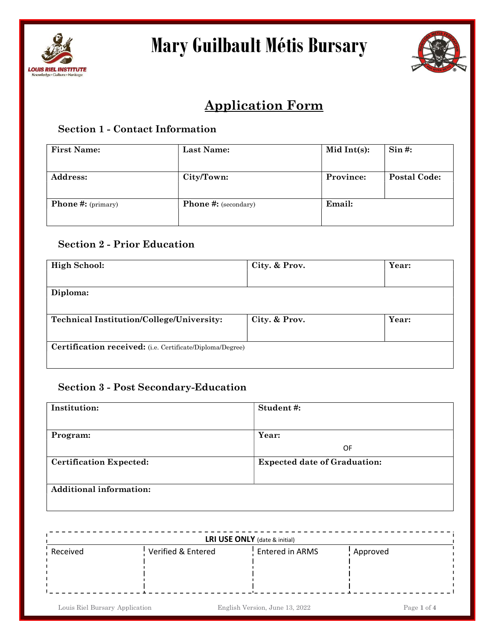



### Application Form

#### Section 1 - Contact Information

| <b>First Name:</b>        | <b>Last Name:</b>           | Mid Int $(s)$ : | Sin #:              |
|---------------------------|-----------------------------|-----------------|---------------------|
| <b>Address:</b>           | City/Town:                  | Province:       | <b>Postal Code:</b> |
| <b>Phone #:</b> (primary) | <b>Phone #:</b> (secondary) | Email:          |                     |

#### Section 2 - Prior Education

| <b>High School:</b>                                       | City. & Prov. | Year: |
|-----------------------------------------------------------|---------------|-------|
|                                                           |               |       |
| Diploma:                                                  |               |       |
| Technical Institution/College/University:                 | City. & Prov. | Year: |
| Certification received: (i.e. Certificate/Diploma/Degree) |               |       |

#### Section 3 - Post Secondary-Education

| Institution:                   | Student#:                           |
|--------------------------------|-------------------------------------|
|                                |                                     |
| Program:                       | Year:                               |
|                                | 0F                                  |
| <b>Certification Expected:</b> | <b>Expected date of Graduation:</b> |
| <b>Additional information:</b> |                                     |

| LRI USE ONLY (date & initial) |                    |                 |                       |  |
|-------------------------------|--------------------|-----------------|-----------------------|--|
| Received                      | Verified & Entered | Entered in ARMS | <sup>1</sup> Approved |  |
|                               |                    |                 |                       |  |
|                               |                    |                 |                       |  |
|                               |                    |                 |                       |  |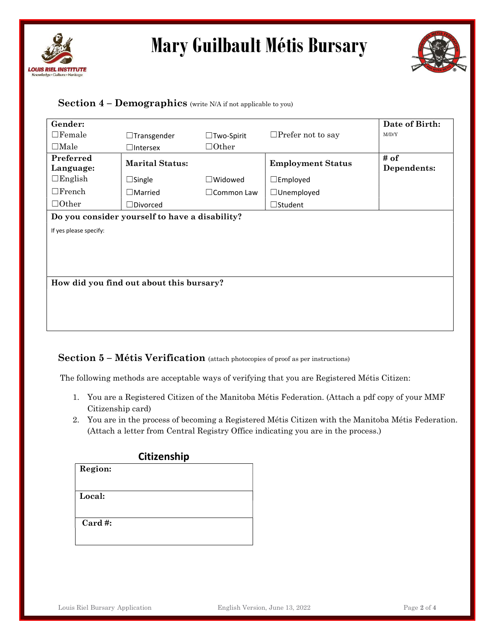



#### Section  $4$  – Demographics (write N/A if not applicable to you)

| Gender:                                        |                                          |                      |                          | Date of Birth:      |  |
|------------------------------------------------|------------------------------------------|----------------------|--------------------------|---------------------|--|
| $\Box$ Female                                  | $\Box$ Transgender                       | $\Box$ Two-Spirit    | $\Box$ Prefer not to say | M/D/Y               |  |
| $\Box$ Male                                    | $\Box$ Intersex                          | $\Box$ Other         |                          |                     |  |
| Preferred<br>Language:                         | <b>Marital Status:</b>                   |                      | <b>Employment Status</b> | # of<br>Dependents: |  |
| $\Box$ English                                 | $\Box$ Single                            | $\Box$ Widowed       | $\square$ Employed       |                     |  |
| $\Box$ French                                  | $\square$ Married                        | $\square$ Common Law | $\Box$ Unemployed        |                     |  |
| $\Box$ Other                                   | $\Box$ Divorced                          |                      | $\Box$ Student           |                     |  |
| Do you consider yourself to have a disability? |                                          |                      |                          |                     |  |
| If yes please specify:                         |                                          |                      |                          |                     |  |
|                                                | How did you find out about this bursary? |                      |                          |                     |  |

#### Section 5 – Métis Verification (attach photocopies of proof as per instructions)

The following methods are acceptable ways of verifying that you are Registered Métis Citizen:

- 1. You are a Registered Citizen of the Manitoba Métis Federation. (Attach a pdf copy of your MMF Citizenship card)
- 2. You are in the process of becoming a Registered Métis Citizen with the Manitoba Métis Federation. (Attach a letter from Central Registry Office indicating you are in the process.)

|             | Citizenship |
|-------------|-------------|
| Region:     |             |
|             |             |
| Local:      |             |
|             |             |
| $Card \#$ : |             |
|             |             |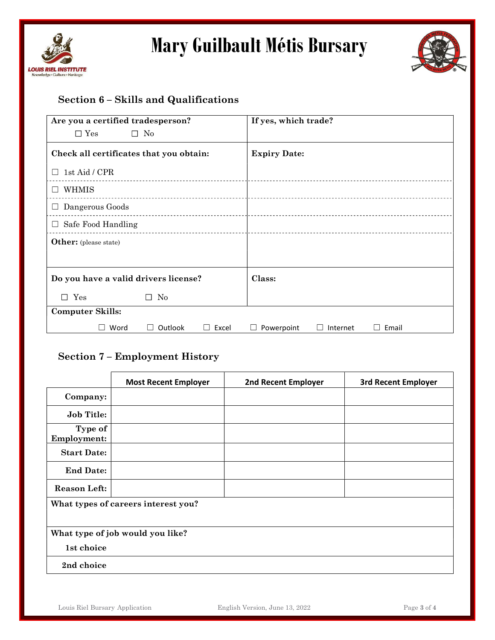



#### Section 6 – Skills and Qualifications

| Are you a certified tradesperson?       |              |            | If yes, which trade? |          |       |
|-----------------------------------------|--------------|------------|----------------------|----------|-------|
| $\square$ Yes                           | $\square$ No |            |                      |          |       |
| Check all certificates that you obtain: |              |            | <b>Expiry Date:</b>  |          |       |
| 1st Aid / CPR<br>$\perp$                |              |            |                      |          |       |
| WHMIS<br>П                              |              |            |                      |          |       |
| $\Box$ Dangerous Goods                  |              |            |                      |          |       |
| $\Box$ Safe Food Handling               |              |            |                      |          |       |
| Other: (please state)                   |              |            |                      |          |       |
|                                         |              |            |                      |          |       |
| Do you have a valid drivers license?    |              |            | Class:               |          |       |
| $\square$ Yes                           | No<br>П      |            |                      |          |       |
| <b>Computer Skills:</b>                 |              |            |                      |          |       |
| Word                                    | Outlook      | Excel<br>ш | Powerpoint           | Internet | Email |

#### Section 7 – Employment History

|                                     | <b>Most Recent Employer</b> | <b>2nd Recent Employer</b> | <b>3rd Recent Employer</b> |  |  |
|-------------------------------------|-----------------------------|----------------------------|----------------------------|--|--|
| Company:                            |                             |                            |                            |  |  |
| <b>Job Title:</b>                   |                             |                            |                            |  |  |
| Type of<br><b>Employment:</b>       |                             |                            |                            |  |  |
| <b>Start Date:</b>                  |                             |                            |                            |  |  |
| <b>End Date:</b>                    |                             |                            |                            |  |  |
| <b>Reason Left:</b>                 |                             |                            |                            |  |  |
| What types of careers interest you? |                             |                            |                            |  |  |
| What type of job would you like?    |                             |                            |                            |  |  |
| 1st choice                          |                             |                            |                            |  |  |
| 2nd choice                          |                             |                            |                            |  |  |